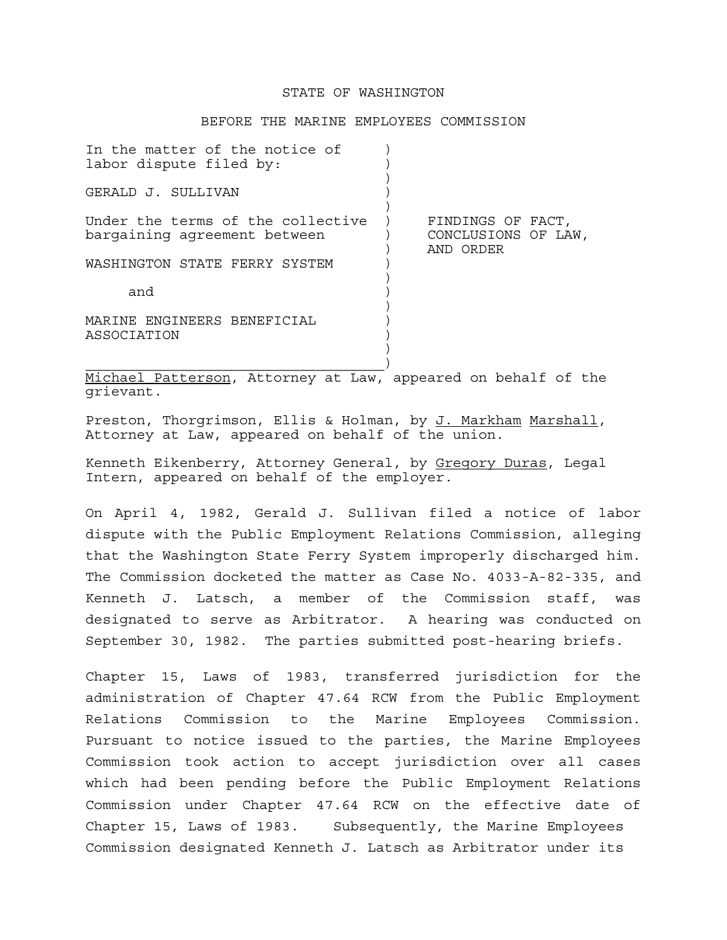### STATE OF WASHINGTON

#### BEFORE THE MARINE EMPLOYEES COMMISSION

| In the matter of the notice of<br>labor dispute filed by:         |                                                       |
|-------------------------------------------------------------------|-------------------------------------------------------|
| GERALD J. SULLIVAN                                                |                                                       |
| Under the terms of the collective<br>bargaining agreement between | FINDINGS OF FACT,<br>CONCLUSIONS OF LAW,<br>AND ORDER |
| WASHINGTON STATE FERRY SYSTEM                                     |                                                       |
| and                                                               |                                                       |
| MARINE ENGINEERS BENEFICIAL<br>ASSOCIATION                        |                                                       |
|                                                                   |                                                       |

Michael Patterson, Attorney at Law, appeared on behalf of the grievant.

Preston, Thorgrimson, Ellis & Holman, by J. Markham Marshall, Attorney at Law, appeared on behalf of the union.

Kenneth Eikenberry, Attorney General, by Gregory Duras, Legal Intern, appeared on behalf of the employer.

On April 4, 1982, Gerald J. Sullivan filed a notice of labor dispute with the Public Employment Relations Commission, alleging that the Washington State Ferry System improperly discharged him. The Commission docketed the matter as Case No. 4033-A-82-335, and Kenneth J. Latsch, a member of the Commission staff, was designated to serve as Arbitrator. A hearing was conducted on September 30, 1982. The parties submitted post-hearing briefs.

Chapter 15, Laws of 1983, transferred jurisdiction for the administration of Chapter 47.64 RCW from the Public Employment Relations Commission to the Marine Employees Commission. Pursuant to notice issued to the parties, the Marine Employees Commission took action to accept jurisdiction over all cases which had been pending before the Public Employment Relations Commission under Chapter 47.64 RCW on the effective date of Chapter 15, Laws of 1983. Subsequently, the Marine Employees Commission designated Kenneth J. Latsch as Arbitrator under its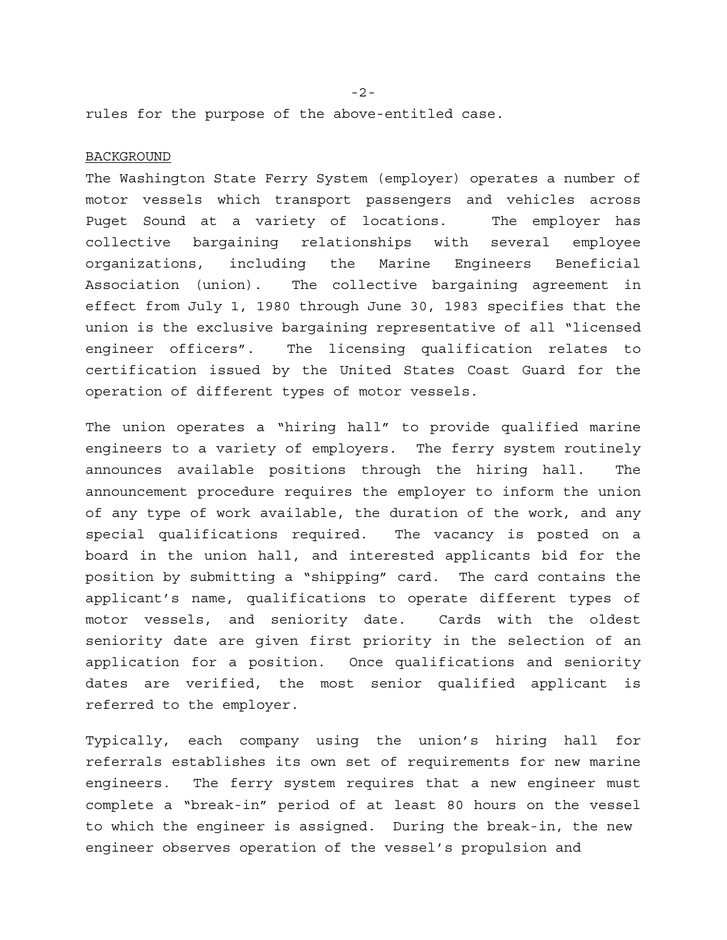rules for the purpose of the above-entitled case.

#### BACKGROUND

The Washington State Ferry System (employer) operates a number of motor vessels which transport passengers and vehicles across Puget Sound at a variety of locations. The employer has collective bargaining relationships with several employee organizations, including the Marine Engineers Beneficial Association (union). The collective bargaining agreement in effect from July 1, 1980 through June 30, 1983 specifies that the union is the exclusive bargaining representative of all "licensed engineer officers". The licensing qualification relates to certification issued by the United States Coast Guard for the operation of different types of motor vessels.

The union operates a "hiring hall" to provide qualified marine engineers to a variety of employers. The ferry system routinely announces available positions through the hiring hall. The announcement procedure requires the employer to inform the union of any type of work available, the duration of the work, and any special qualifications required. The vacancy is posted on a board in the union hall, and interested applicants bid for the position by submitting a "shipping" card. The card contains the applicant's name, qualifications to operate different types of motor vessels, and seniority date. Cards with the oldest seniority date are given first priority in the selection of an application for a position. Once qualifications and seniority dates are verified, the most senior qualified applicant is referred to the employer.

Typically, each company using the union's hiring hall for referrals establishes its own set of requirements for new marine engineers. The ferry system requires that a new engineer must complete a "break-in" period of at least 80 hours on the vessel to which the engineer is assigned. During the break-in, the new engineer observes operation of the vessel's propulsion and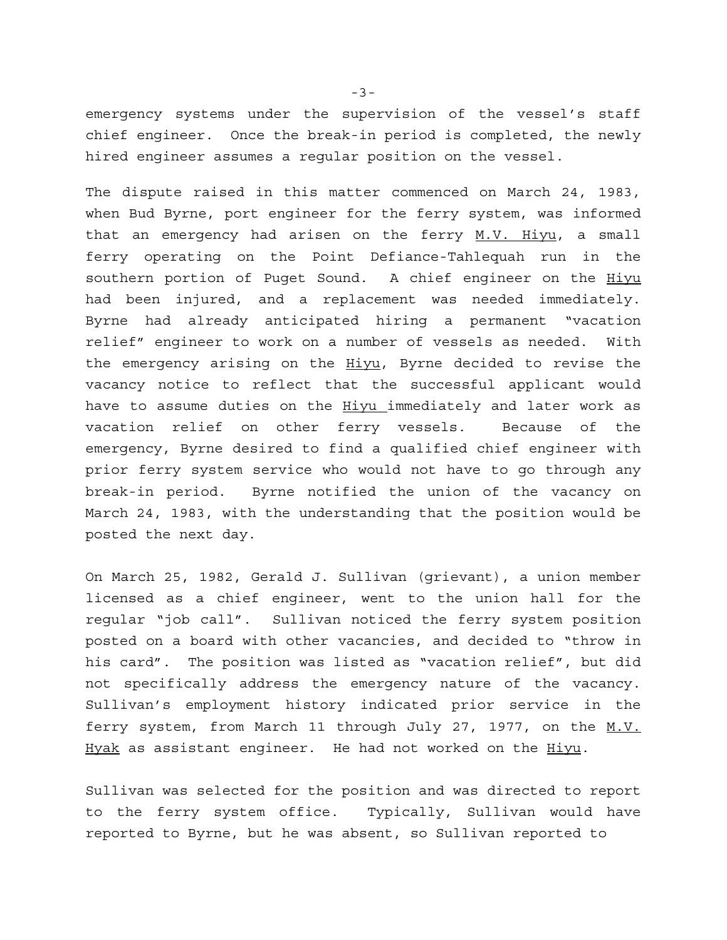emergency systems under the supervision of the vessel's staff chief engineer. Once the break-in period is completed, the newly hired engineer assumes a regular position on the vessel.

The dispute raised in this matter commenced on March 24, 1983, when Bud Byrne, port engineer for the ferry system, was informed that an emergency had arisen on the ferry M.V. Hiyu, a small ferry operating on the Point Defiance-Tahlequah run in the southern portion of Puget Sound. A chief engineer on the Hiyu had been injured, and a replacement was needed immediately. Byrne had already anticipated hiring a permanent "vacation relief" engineer to work on a number of vessels as needed. With the emergency arising on the Hiyu, Byrne decided to revise the vacancy notice to reflect that the successful applicant would have to assume duties on the Hiyu immediately and later work as vacation relief on other ferry vessels. Because of the emergency, Byrne desired to find a qualified chief engineer with prior ferry system service who would not have to go through any break-in period. Byrne notified the union of the vacancy on March 24, 1983, with the understanding that the position would be posted the next day.

On March 25, 1982, Gerald J. Sullivan (grievant), a union member licensed as a chief engineer, went to the union hall for the regular "job call". Sullivan noticed the ferry system position posted on a board with other vacancies, and decided to "throw in his card". The position was listed as "vacation relief", but did not specifically address the emergency nature of the vacancy. Sullivan's employment history indicated prior service in the ferry system, from March 11 through July 27, 1977, on the M.V. Hyak as assistant engineer. He had not worked on the Hiyu.

Sullivan was selected for the position and was directed to report to the ferry system office. Typically, Sullivan would have reported to Byrne, but he was absent, so Sullivan reported to

-3-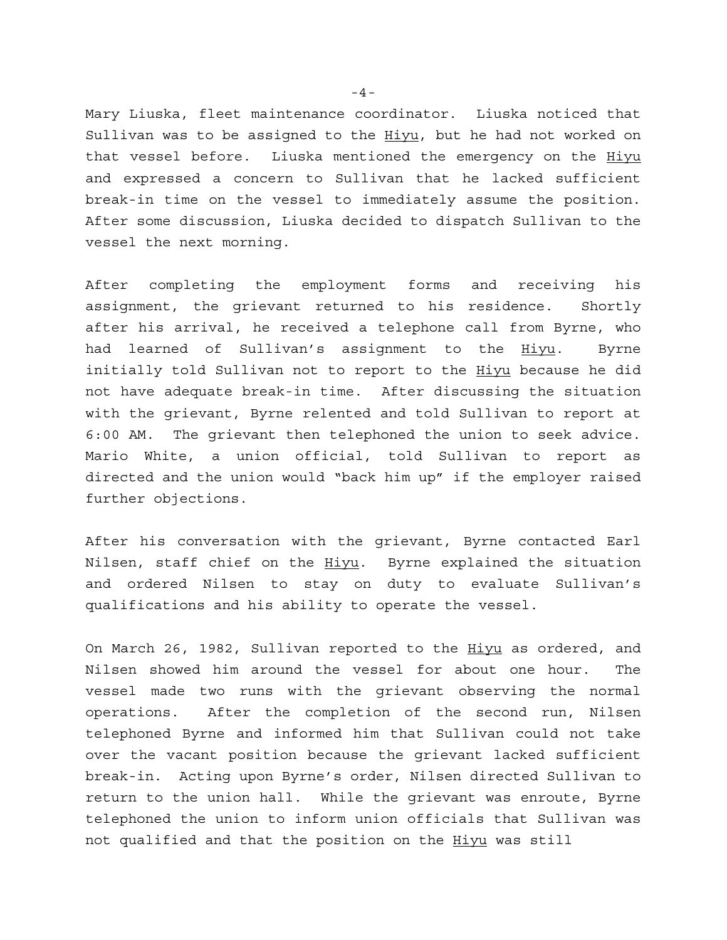Mary Liuska, fleet maintenance coordinator. Liuska noticed that Sullivan was to be assigned to the Hiyu, but he had not worked on that vessel before. Liuska mentioned the emergency on the Hiyu and expressed a concern to Sullivan that he lacked sufficient break-in time on the vessel to immediately assume the position. After some discussion, Liuska decided to dispatch Sullivan to the vessel the next morning.

After completing the employment forms and receiving his assignment, the grievant returned to his residence. Shortly after his arrival, he received a telephone call from Byrne, who had learned of Sullivan's assignment to the Hiyu. Byrne initially told Sullivan not to report to the Hiyu because he did not have adequate break-in time. After discussing the situation with the grievant, Byrne relented and told Sullivan to report at 6:00 AM. The grievant then telephoned the union to seek advice. Mario White, a union official, told Sullivan to report as directed and the union would "back him up" if the employer raised further objections.

After his conversation with the grievant, Byrne contacted Earl Nilsen, staff chief on the Hiyu. Byrne explained the situation and ordered Nilsen to stay on duty to evaluate Sullivan's qualifications and his ability to operate the vessel.

On March 26, 1982, Sullivan reported to the Hiyu as ordered, and Nilsen showed him around the vessel for about one hour. The vessel made two runs with the grievant observing the normal operations. After the completion of the second run, Nilsen telephoned Byrne and informed him that Sullivan could not take over the vacant position because the grievant lacked sufficient break-in. Acting upon Byrne's order, Nilsen directed Sullivan to return to the union hall. While the grievant was enroute, Byrne telephoned the union to inform union officials that Sullivan was not qualified and that the position on the Hiyu was still

-4-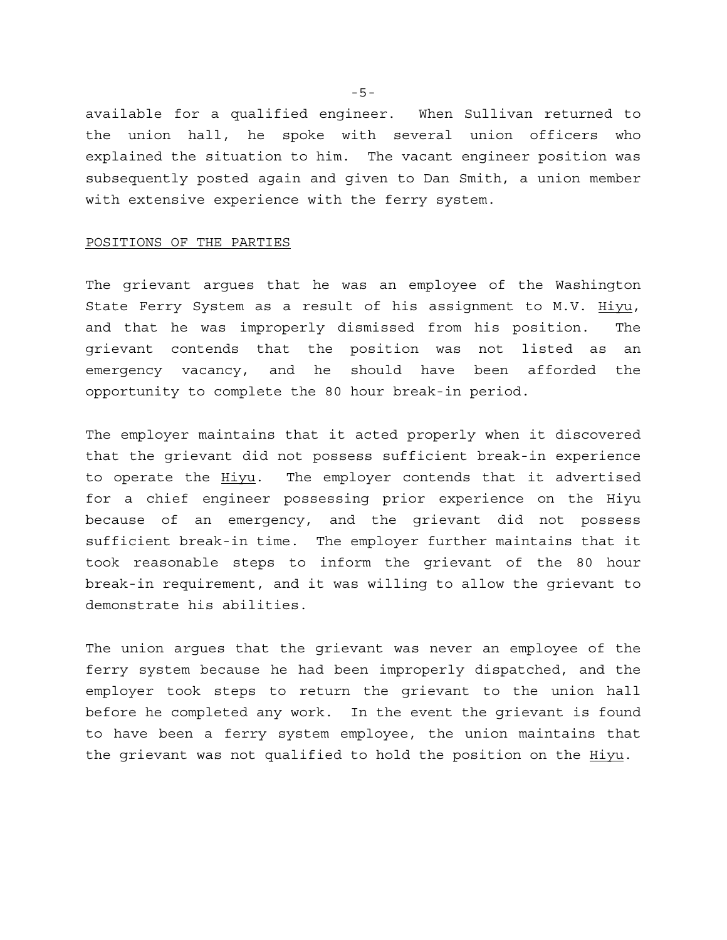available for a qualified engineer. When Sullivan returned to the union hall, he spoke with several union officers who explained the situation to him. The vacant engineer position was subsequently posted again and given to Dan Smith, a union member with extensive experience with the ferry system.

# POSITIONS OF THE PARTIES

The grievant argues that he was an employee of the Washington State Ferry System as a result of his assignment to M.V. Hiyu, and that he was improperly dismissed from his position. The grievant contends that the position was not listed as an emergency vacancy, and he should have been afforded the opportunity to complete the 80 hour break-in period.

The employer maintains that it acted properly when it discovered that the grievant did not possess sufficient break-in experience to operate the Hiyu. The employer contends that it advertised for a chief engineer possessing prior experience on the Hiyu because of an emergency, and the grievant did not possess sufficient break-in time. The employer further maintains that it took reasonable steps to inform the grievant of the 80 hour break-in requirement, and it was willing to allow the grievant to demonstrate his abilities.

The union argues that the grievant was never an employee of the ferry system because he had been improperly dispatched, and the employer took steps to return the grievant to the union hall before he completed any work. In the event the grievant is found to have been a ferry system employee, the union maintains that the grievant was not qualified to hold the position on the Hiyu.

-5-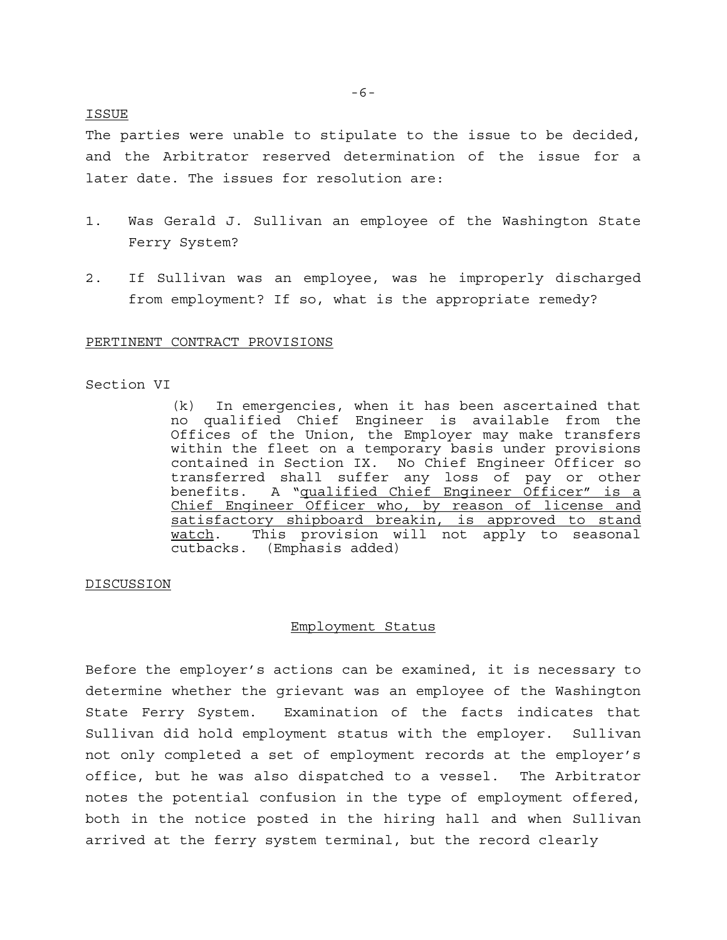## ISSUE

The parties were unable to stipulate to the issue to be decided, and the Arbitrator reserved determination of the issue for a later date. The issues for resolution are:

- 1. Was Gerald J. Sullivan an employee of the Washington State Ferry System?
- 2. If Sullivan was an employee, was he improperly discharged from employment? If so, what is the appropriate remedy?

#### PERTINENT CONTRACT PROVISIONS

## Section VI

(k) In emergencies, when it has been ascertained that no qualified Chief Engineer is available from the Offices of the Union, the Employer may make transfers within the fleet on a temporary basis under provisions contained in Section IX. No Chief Engineer Officer so transferred shall suffer any loss of pay or other benefits. A "qualified Chief Engineer Officer" is a Chief Engineer Officer who, by reason of license and satisfactory shipboard breakin, is approved to stand watch. This provision will not apply to seasonal cutbacks. (Emphasis added)

## DISCUSSION

## Employment Status

Before the employer's actions can be examined, it is necessary to determine whether the grievant was an employee of the Washington State Ferry System. Examination of the facts indicates that Sullivan did hold employment status with the employer. Sullivan not only completed a set of employment records at the employer's office, but he was also dispatched to a vessel. The Arbitrator notes the potential confusion in the type of employment offered, both in the notice posted in the hiring hall and when Sullivan arrived at the ferry system terminal, but the record clearly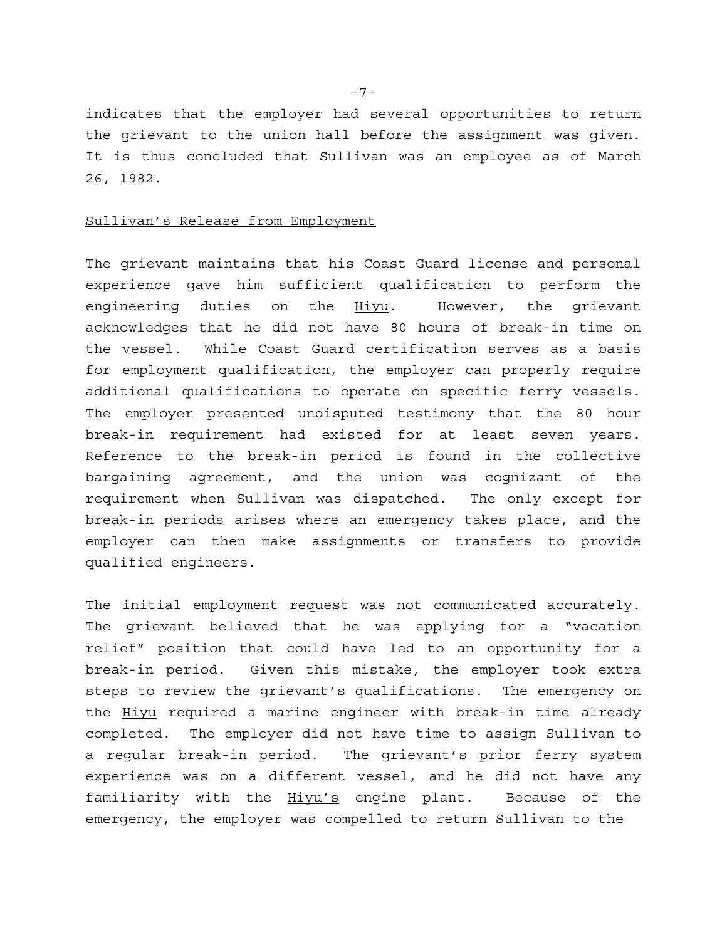indicates that the employer had several opportunities to return the grievant to the union hall before the assignment was given. It is thus concluded that Sullivan was an employee as of March 26, 1982.

### Sullivan's Release from Employment

The grievant maintains that his Coast Guard license and personal experience gave him sufficient qualification to perform the engineering duties on the Hiyu. However, the grievant acknowledges that he did not have 80 hours of break-in time on the vessel. While Coast Guard certification serves as a basis for employment qualification, the employer can properly require additional qualifications to operate on specific ferry vessels. The employer presented undisputed testimony that the 80 hour break-in requirement had existed for at least seven years. Reference to the break-in period is found in the collective bargaining agreement, and the union was cognizant of the requirement when Sullivan was dispatched. The only except for break-in periods arises where an emergency takes place, and the employer can then make assignments or transfers to provide qualified engineers.

The initial employment request was not communicated accurately. The grievant believed that he was applying for a "vacation relief" position that could have led to an opportunity for a break-in period. Given this mistake, the employer took extra steps to review the grievant's qualifications. The emergency on the Hiyu required a marine engineer with break-in time already completed. The employer did not have time to assign Sullivan to a regular break-in period. The grievant's prior ferry system experience was on a different vessel, and he did not have any familiarity with the Hiyu's engine plant. Because of the emergency, the employer was compelled to return Sullivan to the

-7-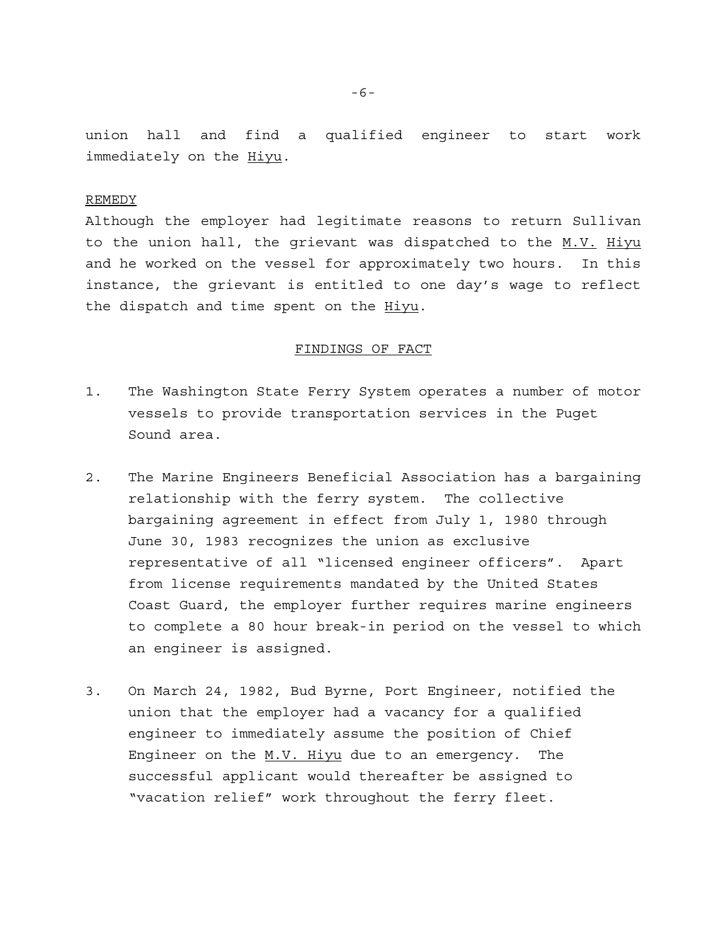union hall and find a qualified engineer to start work immediately on the Hiyu.

#### REMEDY

Although the employer had legitimate reasons to return Sullivan to the union hall, the grievant was dispatched to the M.V. Hiyu and he worked on the vessel for approximately two hours. In this instance, the grievant is entitled to one day's wage to reflect the dispatch and time spent on the Hiyu.

## FINDINGS OF FACT

- 1. The Washington State Ferry System operates a number of motor vessels to provide transportation services in the Puget Sound area.
- 2. The Marine Engineers Beneficial Association has a bargaining relationship with the ferry system. The collective bargaining agreement in effect from July 1, 1980 through June 30, 1983 recognizes the union as exclusive representative of all "licensed engineer officers". Apart from license requirements mandated by the United States Coast Guard, the employer further requires marine engineers to complete a 80 hour break-in period on the vessel to which an engineer is assigned.
- 3. On March 24, 1982, Bud Byrne, Port Engineer, notified the union that the employer had a vacancy for a qualified engineer to immediately assume the position of Chief Engineer on the  $M.V.$  Hiyu due to an emergency. The successful applicant would thereafter be assigned to "vacation relief" work throughout the ferry fleet.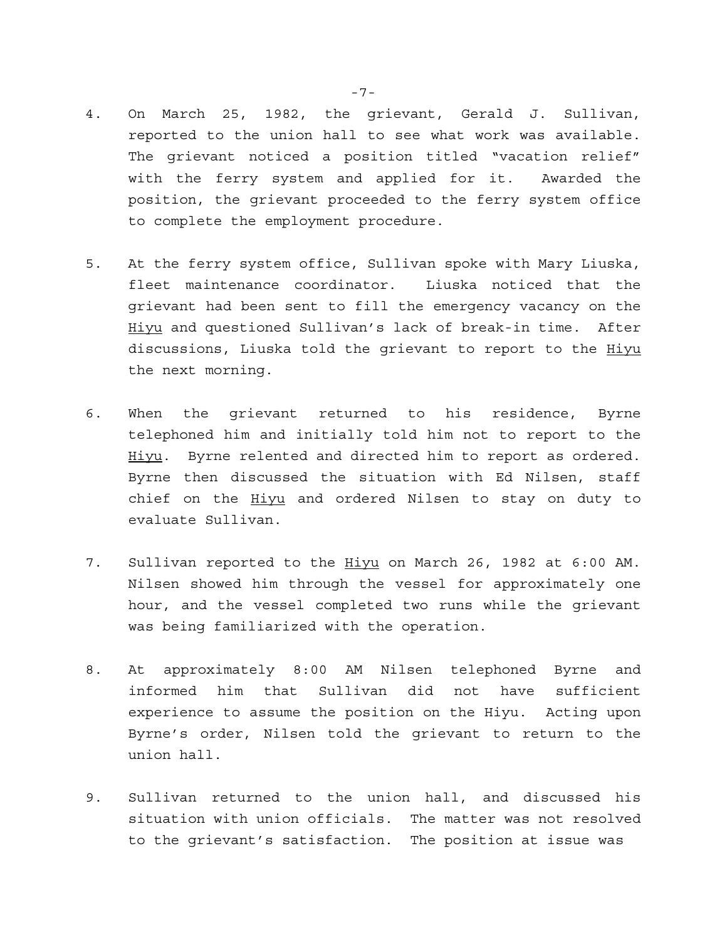- 4. On March 25, 1982, the grievant, Gerald J. Sullivan, reported to the union hall to see what work was available. The grievant noticed a position titled "vacation relief" with the ferry system and applied for it. Awarded the position, the grievant proceeded to the ferry system office to complete the employment procedure.
- 5. At the ferry system office, Sullivan spoke with Mary Liuska, fleet maintenance coordinator. Liuska noticed that the grievant had been sent to fill the emergency vacancy on the Hiyu and questioned Sullivan's lack of break-in time. After discussions, Liuska told the grievant to report to the Hiyu the next morning.
- 6. When the grievant returned to his residence, Byrne telephoned him and initially told him not to report to the Hiyu. Byrne relented and directed him to report as ordered. Byrne then discussed the situation with Ed Nilsen, staff chief on the Hiyu and ordered Nilsen to stay on duty to evaluate Sullivan.
- 7. Sullivan reported to the Hiyu on March 26, 1982 at 6:00 AM. Nilsen showed him through the vessel for approximately one hour, and the vessel completed two runs while the grievant was being familiarized with the operation.
- 8. At approximately 8:00 AM Nilsen telephoned Byrne and informed him that Sullivan did not have sufficient experience to assume the position on the Hiyu. Acting upon Byrne's order, Nilsen told the grievant to return to the union hall.
- 9. Sullivan returned to the union hall, and discussed his situation with union officials. The matter was not resolved to the grievant's satisfaction. The position at issue was